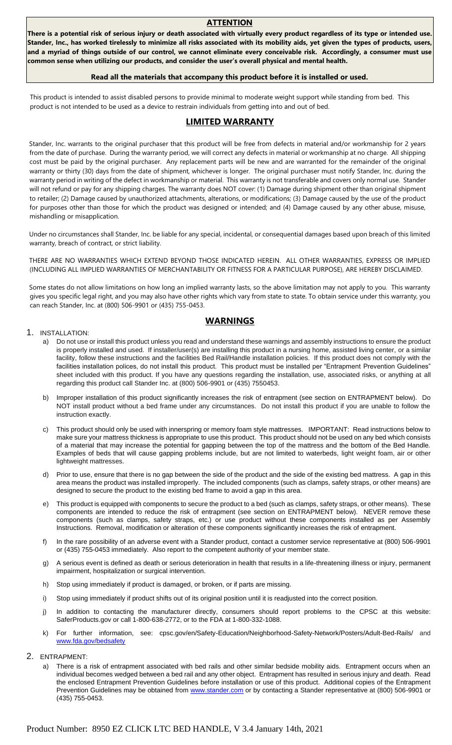#### **ATTENTION**

**There is a potential risk of serious injury or death associated with virtually every product regardless of its type or intended use. Stander, Inc., has worked tirelessly to minimize all risks associated with its mobility aids, yet given the types of products, users, and a myriad of things outside of our control, we cannot eliminate every conceivable risk. Accordingly, a consumer must use common sense when utilizing our products, and consider the user's overall physical and mental health.** 

#### **Read all the materials that accompany this product before it is installed or used.**

This product is intended to assist disabled persons to provide minimal to moderate weight support while standing from bed. This product is not intended to be used as a device to restrain individuals from getting into and out of bed.

## **LIMITED WARRANTY**

Stander, Inc. warrants to the original purchaser that this product will be free from defects in material and/or workmanship for 2 years from the date of purchase. During the warranty period, we will correct any defects in material or workmanship at no charge. All shipping cost must be paid by the original purchaser. Any replacement parts will be new and are warranted for the remainder of the original warranty or thirty (30) days from the date of shipment, whichever is longer. The original purchaser must notify Stander, Inc. during the warranty period in writing of the defect in workmanship or material. This warranty is not transferable and covers only normal use. Stander will not refund or pay for any shipping charges. The warranty does NOT cover: (1) Damage during shipment other than original shipment to retailer; (2) Damage caused by unauthorized attachments, alterations, or modifications; (3) Damage caused by the use of the product for purposes other than those for which the product was designed or intended; and (4) Damage caused by any other abuse, misuse, mishandling or misapplication.

Under no circumstances shall Stander, Inc. be liable for any special, incidental, or consequential damages based upon breach of this limited warranty, breach of contract, or strict liability.

THERE ARE NO WARRANTIES WHICH EXTEND BEYOND THOSE INDICATED HEREIN. ALL OTHER WARRANTIES, EXPRESS OR IMPLIED (INCLUDING ALL IMPLIED WARRANTIES OF MERCHANTABILITY OR FITNESS FOR A PARTICULAR PURPOSE), ARE HEREBY DISCLAIMED.

Some states do not allow limitations on how long an implied warranty lasts, so the above limitation may not apply to you. This warranty gives you specific legal right, and you may also have other rights which vary from state to state. To obtain service under this warranty, you can reach Stander, Inc. at (800) 506-9901 or (435) 755-0453.

## **WARNINGS**

#### 1. INSTALLATION:

- a) Do not use or install this product unless you read and understand these warnings and assembly instructions to ensure the product is properly installed and used. If installer/user(s) are installing this product in a nursing home, assisted living center, or a similar facility, follow these instructions and the facilities Bed Rail/Handle installation policies. If this product does not comply with the facilities installation polices, do not install this product. This product must be installed per "Entrapment Prevention Guidelines" sheet included with this product. If you have any questions regarding the installation, use, associated risks, or anything at all regarding this product call Stander Inc. at (800) 506-9901 or (435) 7550453.
- b) Improper installation of this product significantly increases the risk of entrapment (see section on ENTRAPMENT below). Do NOT install product without a bed frame under any circumstances. Do not install this product if you are unable to follow the instruction exactly.
- c) This product should only be used with innerspring or memory foam style mattresses. IMPORTANT: Read instructions below to make sure your mattress thickness is appropriate to use this product. This product should not be used on any bed which consists of a material that may increase the potential for gapping between the top of the mattress and the bottom of the Bed Handle. Examples of beds that will cause gapping problems include, but are not limited to waterbeds, light weight foam, air or other lightweight mattresses.
- d) Prior to use, ensure that there is no gap between the side of the product and the side of the existing bed mattress. A gap in this area means the product was installed improperly. The included components (such as clamps, safety straps, or other means) are designed to secure the product to the existing bed frame to avoid a gap in this area.
- e) This product is equipped with components to secure the product to a bed (such as clamps, safety straps, or other means). These components are intended to reduce the risk of entrapment (see section on ENTRAPMENT below). NEVER remove these components (such as clamps, safety straps, etc.) or use product without these components installed as per Assembly Instructions. Removal, modification or alteration of these components significantly increases the risk of entrapment.
- f) In the rare possibility of an adverse event with a Stander product, contact a customer service representative at (800) 506-9901 or (435) 755-0453 immediately. Also report to the competent authority of your member state.
- g) A serious event is defined as death or serious deterioration in health that results in a life-threatening illness or injury, permanent impairment, hospitalization or surgical intervention.
- h) Stop using immediately if product is damaged, or broken, or if parts are missing.
- i) Stop using immediately if product shifts out of its original position until it is readjusted into the correct position.
- j) In addition to contacting the manufacturer directly, consumers should report problems to the CPSC at this website: SaferProducts.gov or call 1-800-638-2772, or to the FDA at 1-800-332-1088.
- k) For further information, see: cpsc.gov/en/Safety-Education/Neighborhood-Safety-Network/Posters/Adult-Bed-Rails/ and [www.fda.gov/bedsafety](http://www.fda.gov/bedsafety)
- 2. ENTRAPMENT:
	- a) There is a risk of entrapment associated with bed rails and other similar bedside mobility aids. Entrapment occurs when an individual becomes wedged between a bed rail and any other object. Entrapment has resulted in serious injury and death. Read the enclosed Entrapment Prevention Guidelines before installation or use of this product. Additional copies of the Entrapment Prevention Guidelines may be obtained from [www.stander.com](http://www.stander.com/) [or](http://www.stander.com/) by contacting a Stander representative at (800) 506-9901 or (435) 755-0453.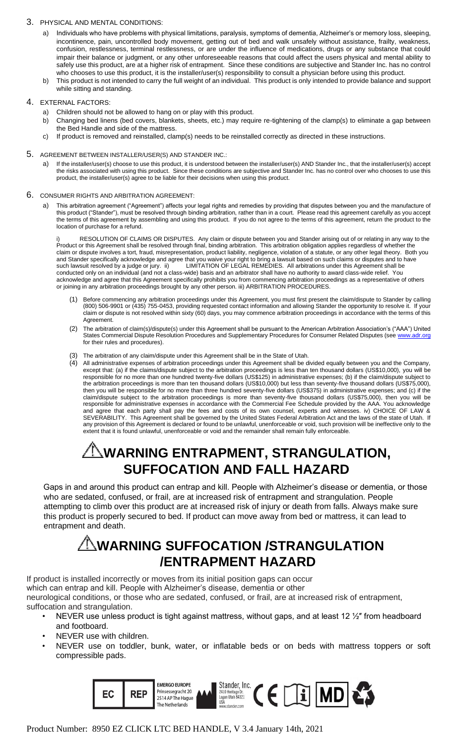### 3. PHYSICAL AND MENTAL CONDITIONS:

- a) Individuals who have problems with physical limitations, paralysis, symptoms of dementia, Alzheimer's or memory loss, sleeping, incontinence, pain, uncontrolled body movement, getting out of bed and walk unsafely without assistance, frailty, weakness, confusion, restlessness, terminal restlessness, or are under the influence of medications, drugs or any substance that could impair their balance or judgment, or any other unforeseeable reasons that could affect the users physical and mental ability to safely use this product, are at a higher risk of entrapment. Since these conditions are subjective and Stander Inc. has no control who chooses to use this product, it is the installer/user(s) responsibility to consult a physician before using this product.
- b) This product is not intended to carry the full weight of an individual. This product is only intended to provide balance and support while sitting and standing.

### 4. EXTERNAL FACTORS:

- a) Children should not be allowed to hang on or play with this product.
- b) Changing bed linens (bed covers, blankets, sheets, etc.) may require re-tightening of the clamp(s) to eliminate a gap between the Bed Handle and side of the mattress.
- c) If product is removed and reinstalled, clamp(s) needs to be reinstalled correctly as directed in these instructions.

#### 5. AGREEMENT BETWEEN INSTALLER/USER(S) AND STANDER INC.:

a) If the installer/user(s) choose to use this product, it is understood between the installer/user(s) AND Stander Inc., that the installer/user(s) accept the risks associated with using this product. Since these conditions are subjective and Stander Inc. has no control over who chooses to use this product, the installer/user(s) agree to be liable for their decisions when using this product.

#### 6. CONSUMER RIGHTS AND ARBITRATION AGREEMENT:

a) This arbitration agreement ("Agreement") affects your legal rights and remedies by providing that disputes between you and the manufacture of this product ("Stander"), must be resolved through binding arbitration, rather than in a court. Please read this agreement carefully as you accept the terms of this agreement by assembling and using this product. If you do not agree to the terms of this agreement, return the product to the location of purchase for a refund.

RESOLUTION OF CLAIMS OR DISPUTES. Any claim or dispute between you and Stander arising out of or relating in any way to the Product or this Agreement shall be resolved through final, binding arbitration. This arbitration obligation applies regardless of whether the claim or dispute involves a tort, fraud, misrepresentation, product liability, negligence, violation of a statute, or any other legal theory. Both you and Stander specifically acknowledge and agree that you waive your right to bring a lawsuit based on such claims or disputes and to have such lawsuit resolved by a judge or jury. ii) LIMITATION OF LEGAL REMEDIES. All arbitrations under this Agreement shall be conducted only on an individual (and not a class-wide) basis and an arbitrator shall have no authority to award class-wide relief. You acknowledge and agree that this Agreement specifically prohibits you from commencing arbitration proceedings as a representative of others or joining in any arbitration proceedings brought by any other person. iii) ARBITRATION PROCEDURES.

- (1) Before commencing any arbitration proceedings under this Agreement, you must first present the claim/dispute to Stander by calling (800) 506-9901 or (435) 755-0453, providing requested contact information and allowing Stander the opportunity to resolve it. If your claim or dispute is not resolved within sixty (60) days, you may commence arbitration proceedings in accordance with the terms of this Agreement.
- (2) The arbitration of claim(s)/dispute(s) under this Agreement shall be pursuant to the American Arbitration Association's ("AAA") United States Commercial Dispute Resolution Procedures and Supplementary Procedures for Consumer Related Disputes (se[e www.adr.org](http://www.adr.org/) [fo](http://www.adr.org/)r their rules and procedures).
- (3) The arbitration of any claim/dispute under this Agreement shall be in the State of Utah.
- (4) All administrative expenses of arbitration proceedings under this Agreement shall be divided equally between you and the Company, except that: (a) if the claims/dispute subject to the arbitration proceedings is less than ten thousand dollars (US\$10,000), you will be responsible for no more than one hundred twenty-five dollars (US\$125) in administrative expenses; (b) if the claim/dispute subject to the arbitration proceedings is more than ten thousand dollars (US\$10,000) but less than seventy-five thousand dollars (US\$75,000), then you will be responsible for no more than three hundred seventy-five dollars (US\$375) in administrative expenses; and (c) if the claim/dispute subject to the arbitration proceedings is more than seventy-five thousand dollars (US\$75,000), then you will be responsible for administrative expenses in accordance with the Commercial Fee Schedule provided by the AAA. You acknowledge and agree that each party shall pay the fees and costs of its own counsel, experts and witnesses. iv) CHOICE OF LAW & SEVERABILITY. This Agreement shall be governed by the United States Federal Arbitration Act and the laws of the state of Utah. If any provision of this Agreement is declared or found to be unlawful, unenforceable or void, such provision will be ineffective only to the extent that it is found unlawful, unenforceable or void and the remainder shall remain fully enforceable.

# **WARNING ENTRAPMENT, STRANGULATION, SUFFOCATION AND FALL HAZARD**

 Gaps in and around this product can entrap and kill. People with Alzheimer's disease or dementia, or those who are sedated, confused, or frail, are at increased risk of entrapment and strangulation. People attempting to climb over this product are at increased risk of injury or death from falls. Always make sure this product is properly secured to bed. If product can move away from bed or mattress, it can lead to entrapment and death.

# **WARNING SUFFOCATION /STRANGULATION /ENTRAPMENT HAZARD**

If product is installed incorrectly or moves from its initial position gaps can occur which can entrap and kill. People with Alzheimer's disease, dementia or other neurological conditions, or those who are sedated, confused, or frail, are at increased risk of entrapment, suffocation and strangulation.

- NEVER use unless product is tight against mattress, without gaps, and at least 12 1/2" from headboard and footboard.
	- NEVER use with children.
	- NEVER use on toddler, bunk, water, or inflatable beds or on beds with mattress toppers or soft compressible pads.

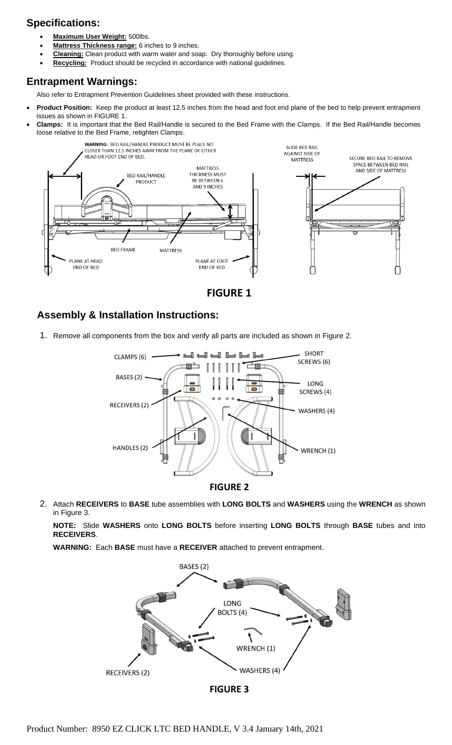# **Specifications:**

- **Maximum User Weight:** 500lbs.
- **Mattress Thickness range:** 6 inches to 9 inches.
- **Cleaning:** Clean product with warm water and soap. Dry thoroughly before using.
- **Recycling:** Product should be recycled in accordance with national guidelines.

## **Entrapment Warnings:**

Also refer to Entrapment Prevention Guidelines sheet provided with these instructions.

- **Product Position:** Keep the product at least 12.5 inches from the head and foot end plane of the bed to help prevent entrapment issues as shown in FIGURE 1.
- **Clamps:** It is important that the Bed Rail/Handle is secured to the Bed Frame with the Clamps. If the Bed Rail/Handle becomes loose relative to the Bed Frame, retighten Clamps.



**FIGURE 1**

# **Assembly & Installation Instructions:**

1. Remove all components from the box and verify all parts are included as shown in Figure 2.





2. Attach **RECEIVERS** to **BASE** tube assemblies with **LONG BOLTS** and **WASHERS** using the **WRENCH** as shown in Figure 3.

**NOTE:** Slide **WASHERS** onto **LONG BOLTS** before inserting **LONG BOLTS** through **BASE** tubes and into **RECEIVERS**.

**WARNING:** Each **BASE** must have a **RECEIVER** attached to prevent entrapment.